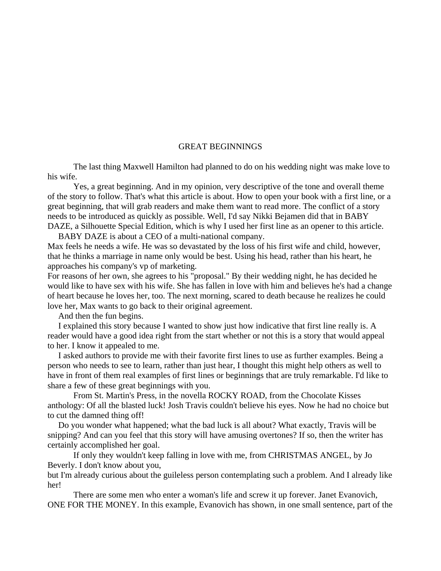## GREAT BEGINNINGS

The last thing Maxwell Hamilton had planned to do on his wedding night was make love to his wife.

Yes, a great beginning. And in my opinion, very descriptive of the tone and overall theme of the story to follow. That's what this article is about. How to open your book with a first line, or a great beginning, that will grab readers and make them want to read more. The conflict of a story needs to be introduced as quickly as possible. Well, I'd say Nikki Bejamen did that in BABY DAZE, a Silhouette Special Edition, which is why I used her first line as an opener to this article.

 BABY DAZE is about a CEO of a multi-national company. Max feels he needs a wife. He was so devastated by the loss of his first wife and child, however, that he thinks a marriage in name only would be best. Using his head, rather than his heart, he approaches his company's vp of marketing.

For reasons of her own, she agrees to his "proposal." By their wedding night, he has decided he would like to have sex with his wife. She has fallen in love with him and believes he's had a change of heart because he loves her, too. The next morning, scared to death because he realizes he could love her, Max wants to go back to their original agreement.

And then the fun begins.

 I explained this story because I wanted to show just how indicative that first line really is. A reader would have a good idea right from the start whether or not this is a story that would appeal to her. I know it appealed to me.

 I asked authors to provide me with their favorite first lines to use as further examples. Being a person who needs to see to learn, rather than just hear, I thought this might help others as well to have in front of them real examples of first lines or beginnings that are truly remarkable. I'd like to share a few of these great beginnings with you.

 From St. Martin's Press, in the novella ROCKY ROAD, from the Chocolate Kisses anthology: Of all the blasted luck! Josh Travis couldn't believe his eyes. Now he had no choice but to cut the damned thing off!

 Do you wonder what happened; what the bad luck is all about? What exactly, Travis will be snipping? And can you feel that this story will have amusing overtones? If so, then the writer has certainly accomplished her goal.

 If only they wouldn't keep falling in love with me, from CHRISTMAS ANGEL, by Jo Beverly. I don't know about you,

but I'm already curious about the guileless person contemplating such a problem. And I already like her!

 There are some men who enter a woman's life and screw it up forever. Janet Evanovich, ONE FOR THE MONEY. In this example, Evanovich has shown, in one small sentence, part of the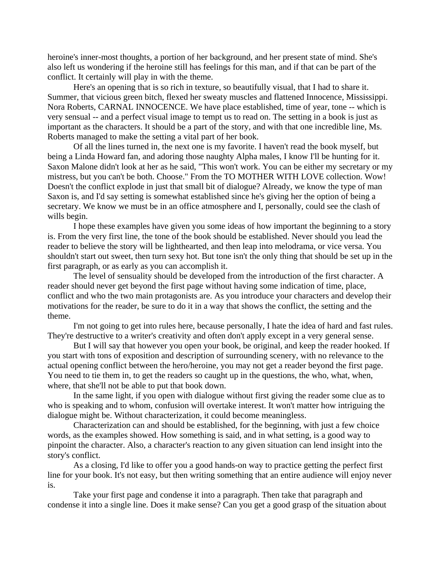heroine's inner-most thoughts, a portion of her background, and her present state of mind. She's also left us wondering if the heroine still has feelings for this man, and if that can be part of the conflict. It certainly will play in with the theme.

Here's an opening that is so rich in texture, so beautifully visual, that I had to share it. Summer, that vicious green bitch, flexed her sweaty muscles and flattened Innocence, Mississippi. Nora Roberts, CARNAL INNOCENCE. We have place established, time of year, tone -- which is very sensual -- and a perfect visual image to tempt us to read on. The setting in a book is just as important as the characters. It should be a part of the story, and with that one incredible line, Ms. Roberts managed to make the setting a vital part of her book.

Of all the lines turned in, the next one is my favorite. I haven't read the book myself, but being a Linda Howard fan, and adoring those naughty Alpha males, I know I'll be hunting for it. Saxon Malone didn't look at her as he said, "This won't work. You can be either my secretary or my mistress, but you can't be both. Choose." From the TO MOTHER WITH LOVE collection. Wow! Doesn't the conflict explode in just that small bit of dialogue? Already, we know the type of man Saxon is, and I'd say setting is somewhat established since he's giving her the option of being a secretary. We know we must be in an office atmosphere and I, personally, could see the clash of wills begin.

I hope these examples have given you some ideas of how important the beginning to a story is. From the very first line, the tone of the book should be established. Never should you lead the reader to believe the story will be lighthearted, and then leap into melodrama, or vice versa. You shouldn't start out sweet, then turn sexy hot. But tone isn't the only thing that should be set up in the first paragraph, or as early as you can accomplish it.

The level of sensuality should be developed from the introduction of the first character. A reader should never get beyond the first page without having some indication of time, place, conflict and who the two main protagonists are. As you introduce your characters and develop their motivations for the reader, be sure to do it in a way that shows the conflict, the setting and the theme.

I'm not going to get into rules here, because personally, I hate the idea of hard and fast rules. They're destructive to a writer's creativity and often don't apply except in a very general sense.

But I will say that however you open your book, be original, and keep the reader hooked. If you start with tons of exposition and description of surrounding scenery, with no relevance to the actual opening conflict between the hero/heroine, you may not get a reader beyond the first page. You need to tie them in, to get the readers so caught up in the questions, the who, what, when, where, that she'll not be able to put that book down.

In the same light, if you open with dialogue without first giving the reader some clue as to who is speaking and to whom, confusion will overtake interest. It won't matter how intriguing the dialogue might be. Without characterization, it could become meaningless.

Characterization can and should be established, for the beginning, with just a few choice words, as the examples showed. How something is said, and in what setting, is a good way to pinpoint the character. Also, a character's reaction to any given situation can lend insight into the story's conflict.

As a closing, I'd like to offer you a good hands-on way to practice getting the perfect first line for your book. It's not easy, but then writing something that an entire audience will enjoy never is.

Take your first page and condense it into a paragraph. Then take that paragraph and condense it into a single line. Does it make sense? Can you get a good grasp of the situation about